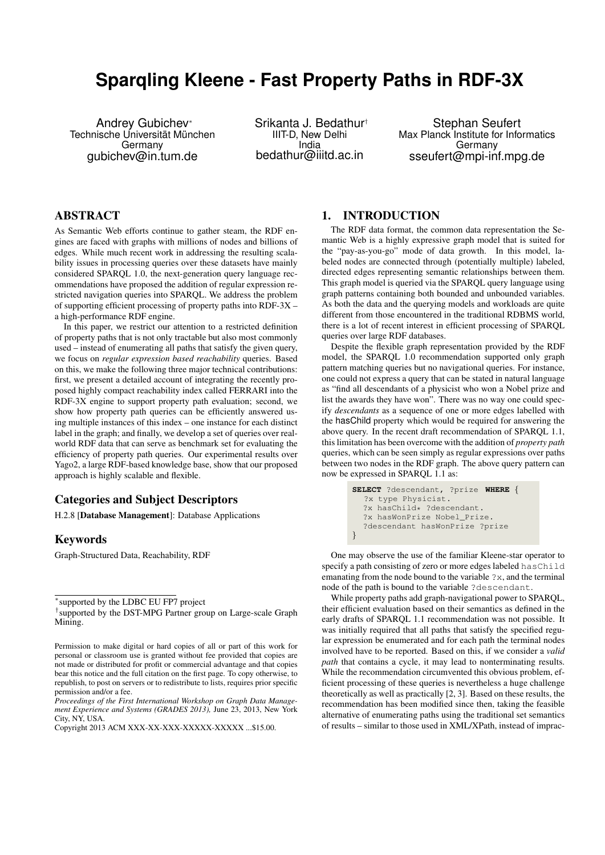# **Sparqling Kleene - Fast Property Paths in RDF-3X**

Andrey Gubichev<sup>∗</sup> Technische Universität München **Germany** gubichev@in.tum.de

Srikanta J. Bedathur† IIIT-D, New Delhi India bedathur@iiitd.ac.in

Stephan Seufert Max Planck Institute for Informatics Germany sseufert@mpi-inf.mpg.de

## ABSTRACT

As Semantic Web efforts continue to gather steam, the RDF engines are faced with graphs with millions of nodes and billions of edges. While much recent work in addressing the resulting scalability issues in processing queries over these datasets have mainly considered SPARQL 1.0, the next-generation query language recommendations have proposed the addition of regular expression restricted navigation queries into SPARQL. We address the problem of supporting efficient processing of property paths into RDF-3X – a high-performance RDF engine.

In this paper, we restrict our attention to a restricted definition of property paths that is not only tractable but also most commonly used – instead of enumerating all paths that satisfy the given query, we focus on *regular expression based reachability* queries. Based on this, we make the following three major technical contributions: first, we present a detailed account of integrating the recently proposed highly compact reachability index called FERRARI into the RDF-3X engine to support property path evaluation; second, we show how property path queries can be efficiently answered using multiple instances of this index – one instance for each distinct label in the graph; and finally, we develop a set of queries over realworld RDF data that can serve as benchmark set for evaluating the efficiency of property path queries. Our experimental results over Yago2, a large RDF-based knowledge base, show that our proposed approach is highly scalable and flexible.

#### Categories and Subject Descriptors

H.2.8 [Database Management]: Database Applications

#### Keywords

Graph-Structured Data, Reachability, RDF

## 1. INTRODUCTION

The RDF data format, the common data representation the Semantic Web is a highly expressive graph model that is suited for the "pay-as-you-go" mode of data growth. In this model, labeled nodes are connected through (potentially multiple) labeled, directed edges representing semantic relationships between them. This graph model is queried via the SPARQL query language using graph patterns containing both bounded and unbounded variables. As both the data and the querying models and workloads are quite different from those encountered in the traditional RDBMS world, there is a lot of recent interest in efficient processing of SPARQL queries over large RDF databases.

Despite the flexible graph representation provided by the RDF model, the SPARQL 1.0 recommendation supported only graph pattern matching queries but no navigational queries. For instance, one could not express a query that can be stated in natural language as "find all descendants of a physicist who won a Nobel prize and list the awards they have won". There was no way one could specify *descendants* as a sequence of one or more edges labelled with the hasChild property which would be required for answering the above query. In the recent draft recommendation of SPARQL 1.1, this limitation has been overcome with the addition of *property path* queries, which can be seen simply as regular expressions over paths between two nodes in the RDF graph. The above query pattern can now be expressed in SPARQL 1.1 as:

```
SELECT ?descendant, ?prize WHERE {
  ?x type Physicist.
  ?x hasChild* ?descendant.
  ?x hasWonPrize Nobel_Prize.
  ?descendant hasWonPrize ?prize
}
```
One may observe the use of the familiar Kleene-star operator to specify a path consisting of zero or more edges labeled hasChild emanating from the node bound to the variable ?x, and the terminal node of the path is bound to the variable ?descendant.

While property paths add graph-navigational power to SPARQL, their efficient evaluation based on their semantics as defined in the early drafts of SPARQL 1.1 recommendation was not possible. It was initially required that all paths that satisfy the specified regular expression be enumerated and for each path the terminal nodes involved have to be reported. Based on this, if we consider a *valid path* that contains a cycle, it may lead to nonterminating results. While the recommendation circumvented this obvious problem, efficient processing of these queries is nevertheless a huge challenge theoretically as well as practically [2, 3]. Based on these results, the recommendation has been modified since then, taking the feasible alternative of enumerating paths using the traditional set semantics of results – similar to those used in XML/XPath, instead of imprac-

<sup>∗</sup> supported by the LDBC EU FP7 project

<sup>†</sup> supported by the DST-MPG Partner group on Large-scale Graph Mining.

Permission to make digital or hard copies of all or part of this work for personal or classroom use is granted without fee provided that copies are not made or distributed for profit or commercial advantage and that copies bear this notice and the full citation on the first page. To copy otherwise, to republish, to post on servers or to redistribute to lists, requires prior specific permission and/or a fee.

*Proceedings of the First International Workshop on Graph Data Management Experience and Systems (GRADES 2013),* June 23, 2013, New York City, NY, USA.

Copyright 2013 ACM XXX-XX-XXX-XXXXX-XXXXX ...\$15.00.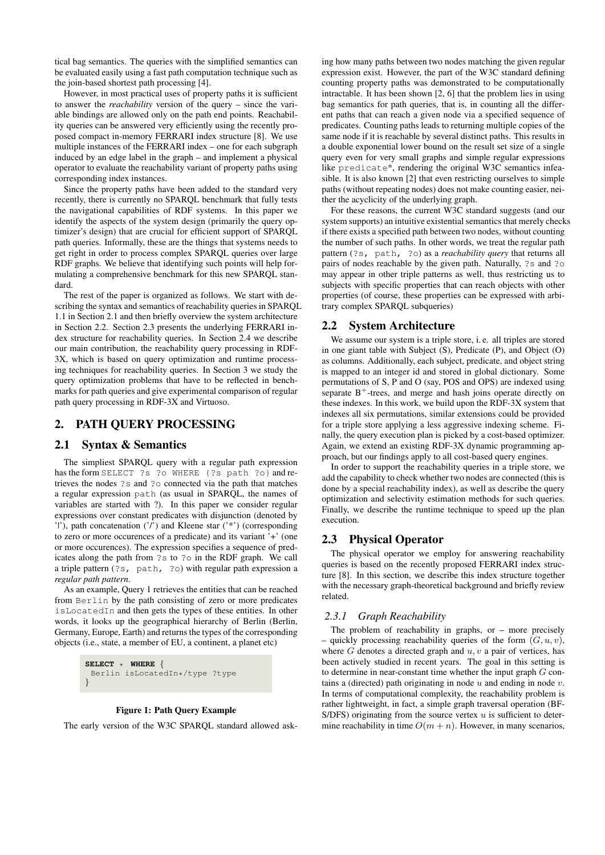tical bag semantics. The queries with the simplified semantics can be evaluated easily using a fast path computation technique such as the join-based shortest path processing [4].

However, in most practical uses of property paths it is sufficient to answer the *reachability* version of the query – since the variable bindings are allowed only on the path end points. Reachability queries can be answered very efficiently using the recently proposed compact in-memory FERRARI index structure [8]. We use multiple instances of the FERRARI index – one for each subgraph induced by an edge label in the graph – and implement a physical operator to evaluate the reachability variant of property paths using corresponding index instances.

Since the property paths have been added to the standard very recently, there is currently no SPARQL benchmark that fully tests the navigational capabilities of RDF systems. In this paper we identify the aspects of the system design (primarily the query optimizer's design) that are crucial for efficient support of SPARQL path queries. Informally, these are the things that systems needs to get right in order to process complex SPARQL queries over large RDF graphs. We believe that identifying such points will help formulating a comprehensive benchmark for this new SPARQL standard.

The rest of the paper is organized as follows. We start with describing the syntax and semantics of reachability queries in SPARQL 1.1 in Section 2.1 and then briefly overview the system architecture in Section 2.2. Section 2.3 presents the underlying FERRARI index structure for reachability queries. In Section 2.4 we describe our main contribution, the reachability query processing in RDF-3X, which is based on query optimization and runtime processing techniques for reachability queries. In Section 3 we study the query optimization problems that have to be reflected in benchmarks for path queries and give experimental comparison of regular path query processing in RDF-3X and Virtuoso.

## 2. PATH QUERY PROCESSING

## 2.1 Syntax & Semantics

The simpliest SPARQL query with a regular path expression has the form SELECT ?s ?o WHERE {?s path ?o} and retrieves the nodes ?s and ?o connected via the path that matches a regular expression path (as usual in SPARQL, the names of variables are started with ?). In this paper we consider regular expressions over constant predicates with disjunction (denoted by '|'), path concatenation ('/') and Kleene star ('\*') (corresponding to zero or more occurences of a predicate) and its variant '+' (one or more occurences). The expression specifies a sequence of predicates along the path from ?s to ?o in the RDF graph. We call a triple pattern (?s, path, ?o) with regular path expression a *regular path pattern*.

As an example, Query 1 retrieves the entities that can be reached from Berlin by the path consisting of zero or more predicates isLocatedIn and then gets the types of these entities. In other words, it looks up the geographical hierarchy of Berlin (Berlin, Germany, Europe, Earth) and returns the types of the corresponding objects (i.e., state, a member of EU, a continent, a planet etc)

```
SELECT * WHERE {
 Berlin isLocatedIn*/type ?type
}
```
#### Figure 1: Path Query Example

The early version of the W3C SPARQL standard allowed ask-

ing how many paths between two nodes matching the given regular expression exist. However, the part of the W3C standard defining counting property paths was demonstrated to be computationally intractable. It has been shown [2, 6] that the problem lies in using bag semantics for path queries, that is, in counting all the different paths that can reach a given node via a specified sequence of predicates. Counting paths leads to returning multiple copies of the same node if it is reachable by several distinct paths. This results in a double exponential lower bound on the result set size of a single query even for very small graphs and simple regular expressions like predicate\*, rendering the original W3C semantics infeasible. It is also known [2] that even restricting ourselves to simple paths (without repeating nodes) does not make counting easier, neither the acyclicity of the underlying graph.

For these reasons, the current W3C standard suggests (and our system supports) an intuitive existential semantics that merely checks if there exists a specified path between two nodes, without counting the number of such paths. In other words, we treat the regular path pattern (?s, path, ?o) as a *reachability query* that returns all pairs of nodes reachable by the given path. Naturally, ?s and ?o may appear in other triple patterns as well, thus restricting us to subjects with specific properties that can reach objects with other properties (of course, these properties can be expressed with arbitrary complex SPARQL subqueries)

#### 2.2 System Architecture

We assume our system is a triple store, i. e. all triples are stored in one giant table with Subject (S), Predicate (P), and Object (O) as columns. Additionally, each subject, predicate, and object string is mapped to an integer id and stored in global dictionary. Some permutations of S, P and O (say, POS and OPS) are indexed using separate  $B^+$ -trees, and merge and hash joins operate directly on these indexes. In this work, we build upon the RDF-3X system that indexes all six permutations, similar extensions could be provided for a triple store applying a less aggressive indexing scheme. Finally, the query execution plan is picked by a cost-based optimizer. Again, we extend an existing RDF-3X dynamic programming approach, but our findings apply to all cost-based query engines.

In order to support the reachability queries in a triple store, we add the capability to check whether two nodes are connected (this is done by a special reachability index), as well as describe the query optimization and selectivity estimation methods for such queries. Finally, we describe the runtime technique to speed up the plan execution.

#### 2.3 Physical Operator

The physical operator we employ for answering reachability queries is based on the recently proposed FERRARI index structure [8]. In this section, we describe this index structure together with the necessary graph-theoretical background and briefly review related.

#### *2.3.1 Graph Reachability*

The problem of reachability in graphs, or – more precisely – quickly processing reachability queries of the form  $(G, u, v)$ , where  $G$  denotes a directed graph and  $u, v$  a pair of vertices, has been actively studied in recent years. The goal in this setting is to determine in near-constant time whether the input graph  $G$  contains a (directed) path originating in node  $u$  and ending in node  $v$ . In terms of computational complexity, the reachability problem is rather lightweight, in fact, a simple graph traversal operation (BF-S/DFS) originating from the source vertex  $u$  is sufficient to determine reachability in time  $O(m + n)$ . However, in many scenarios,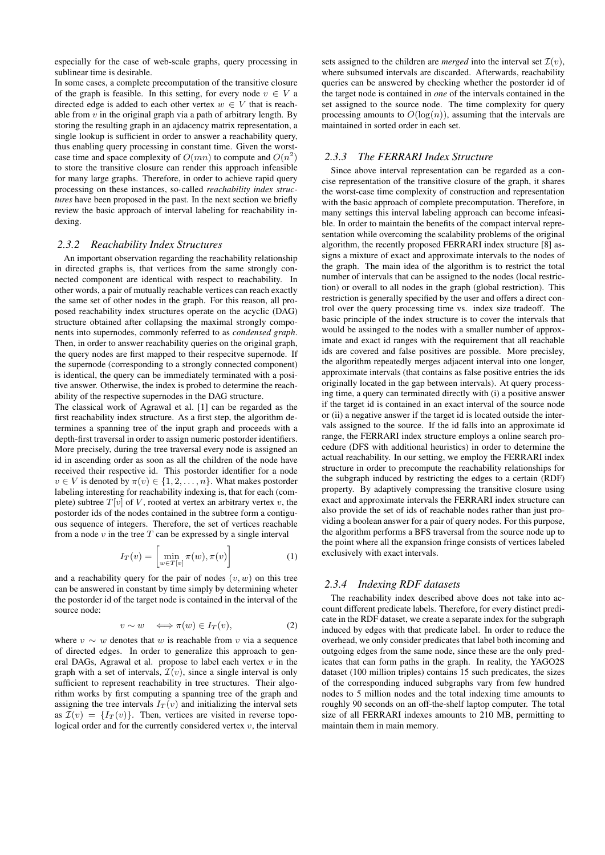especially for the case of web-scale graphs, query processing in sublinear time is desirable.

In some cases, a complete precomputation of the transitive closure of the graph is feasible. In this setting, for every node  $v \in V$  a directed edge is added to each other vertex  $w \in V$  that is reachable from  $v$  in the original graph via a path of arbitrary length. By storing the resulting graph in an ajdacency matrix representation, a single lookup is sufficient in order to answer a reachability query, thus enabling query processing in constant time. Given the worstcase time and space complexity of  $O(mn)$  to compute and  $O(n^2)$ to store the transitive closure can render this approach infeasible for many large graphs. Therefore, in order to achieve rapid query processing on these instances, so-called *reachability index structures* have been proposed in the past. In the next section we briefly review the basic approach of interval labeling for reachability indexing.

#### *2.3.2 Reachability Index Structures*

An important observation regarding the reachability relationship in directed graphs is, that vertices from the same strongly connected component are identical with respect to reachability. In other words, a pair of mutually reachable vertices can reach exactly the same set of other nodes in the graph. For this reason, all proposed reachability index structures operate on the acyclic (DAG) structure obtained after collapsing the maximal strongly components into supernodes, commonly referred to as *condensed graph*. Then, in order to answer reachability queries on the original graph, the query nodes are first mapped to their respecitve supernode. If the supernode (corresponding to a strongly connected component) is identical, the query can be immediately terminated with a positive answer. Otherwise, the index is probed to determine the reachability of the respective supernodes in the DAG structure.

The classical work of Agrawal et al. [1] can be regarded as the first reachability index structure. As a first step, the algorithm determines a spanning tree of the input graph and proceeds with a depth-first traversal in order to assign numeric postorder identifiers. More precisely, during the tree traversal every node is assigned an id in ascending order as soon as all the children of the node have received their respective id. This postorder identifier for a node  $v \in V$  is denoted by  $\pi(v) \in \{1, 2, \ldots, n\}$ . What makes postorder labeling interesting for reachability indexing is, that for each (complete) subtree  $T[v]$  of V, rooted at vertex an arbitrary vertex v, the postorder ids of the nodes contained in the subtree form a contiguous sequence of integers. Therefore, the set of vertices reachable from a node  $v$  in the tree  $T$  can be expressed by a single interval

$$
I_T(v) = \left[\min_{w \in T[v]} \pi(w), \pi(v)\right]
$$
 (1)

and a reachability query for the pair of nodes  $(v, w)$  on this tree can be answered in constant by time simply by determining wheter the postorder id of the target node is contained in the interval of the source node:

$$
v \sim w \quad \Longleftrightarrow \pi(w) \in I_T(v), \tag{2}
$$

where  $v \sim w$  denotes that w is reachable from v via a sequence of directed edges. In order to generalize this approach to general DAGs, Agrawal et al. propose to label each vertex  $v$  in the graph with a set of intervals,  $\mathcal{I}(v)$ , since a single interval is only sufficient to represent reachability in tree structures. Their algorithm works by first computing a spanning tree of the graph and assigning the tree intervals  $I_T(v)$  and initializing the interval sets as  $\mathcal{I}(v) = \{I_T(v)\}\$ . Then, vertices are visited in reverse topological order and for the currently considered vertex  $v$ , the interval

sets assigned to the children are *merged* into the interval set  $\mathcal{I}(v)$ , where subsumed intervals are discarded. Afterwards, reachability queries can be answered by checking whether the postorder id of the target node is contained in *one* of the intervals contained in the set assigned to the source node. The time complexity for query processing amounts to  $O(\log(n))$ , assuming that the intervals are maintained in sorted order in each set.

#### *2.3.3 The FERRARI Index Structure*

Since above interval representation can be regarded as a concise representation of the transitive closure of the graph, it shares the worst-case time complexity of construction and representation with the basic approach of complete precomputation. Therefore, in many settings this interval labeling approach can become infeasible. In order to maintain the benefits of the compact interval representation while overcoming the scalability problems of the original algorithm, the recently proposed FERRARI index structure [8] assigns a mixture of exact and approximate intervals to the nodes of the graph. The main idea of the algorithm is to restrict the total number of intervals that can be assigned to the nodes (local restriction) or overall to all nodes in the graph (global restriction). This restriction is generally specified by the user and offers a direct control over the query processing time vs. index size tradeoff. The basic principle of the index structure is to cover the intervals that would be assinged to the nodes with a smaller number of approximate and exact id ranges with the requirement that all reachable ids are covered and false positives are possible. More precisley, the algorithm repeatedly merges adjacent interval into one longer, approximate intervals (that contains as false positive entries the ids originally located in the gap between intervals). At query processing time, a query can terminated directly with (i) a positive answer if the target id is contained in an exact interval of the source node or (ii) a negative answer if the target id is located outside the intervals assigned to the source. If the id falls into an approximate id range, the FERRARI index structure employs a online search procedure (DFS with additional heuristics) in order to determine the actual reachability. In our setting, we employ the FERRARI index structure in order to precompute the reachability relationships for the subgraph induced by restricting the edges to a certain (RDF) property. By adaptively compressing the transitive closure using exact and approximate intervals the FERRARI index structure can also provide the set of ids of reachable nodes rather than just providing a boolean answer for a pair of query nodes. For this purpose, the algorithm performs a BFS traversal from the source node up to the point where all the expansion fringe consists of vertices labeled exclusively with exact intervals.

#### *2.3.4 Indexing RDF datasets*

The reachability index described above does not take into account different predicate labels. Therefore, for every distinct predicate in the RDF dataset, we create a separate index for the subgraph induced by edges with that predicate label. In order to reduce the overhead, we only consider predicates that label both incoming and outgoing edges from the same node, since these are the only predicates that can form paths in the graph. In reality, the YAGO2S dataset (100 million triples) contains 15 such predicates, the sizes of the corresponding induced subgraphs vary from few hundred nodes to 5 million nodes and the total indexing time amounts to roughly 90 seconds on an off-the-shelf laptop computer. The total size of all FERRARI indexes amounts to 210 MB, permitting to maintain them in main memory.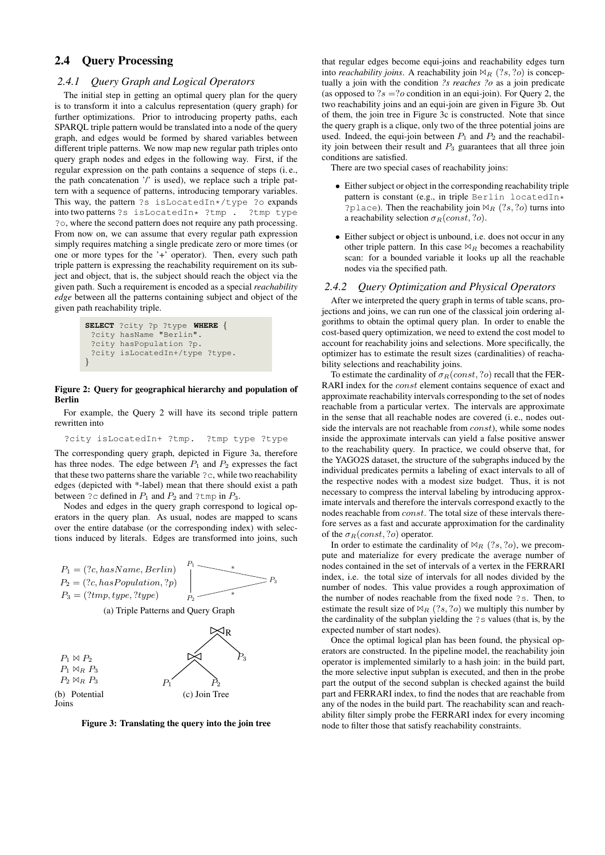## 2.4 Query Processing

#### *2.4.1 Query Graph and Logical Operators*

The initial step in getting an optimal query plan for the query is to transform it into a calculus representation (query graph) for further optimizations. Prior to introducing property paths, each SPARQL triple pattern would be translated into a node of the query graph, and edges would be formed by shared variables between different triple patterns. We now map new regular path triples onto query graph nodes and edges in the following way. First, if the regular expression on the path contains a sequence of steps (i. e., the path concatenation '/' is used), we replace such a triple pattern with a sequence of patterns, introducing temporary variables. This way, the pattern ?s isLocatedIn\*/type ?o expands into two patterns ?s isLocatedIn\* ?tmp . ?tmp type ?o, where the second pattern does not require any path processing. From now on, we can assume that every regular path expression simply requires matching a single predicate zero or more times (or one or more types for the '+' operator). Then, every such path triple pattern is expressing the reachability requirement on its subject and object, that is, the subject should reach the object via the given path. Such a requirement is encoded as a special *reachability edge* between all the patterns containing subject and object of the given path reachability triple.

```
SELECT ?city ?p ?type WHERE {
 ?city hasName "Berlin".
 ?city hasPopulation ?p.
 ?city isLocatedIn+/type ?type.
}
```
#### Figure 2: Query for geographical hierarchy and population of Berlin

For example, the Query 2 will have its second triple pattern rewritten into

?city isLocatedIn+ ?tmp. ?tmp type ?type

The corresponding query graph, depicted in Figure 3a, therefore has three nodes. The edge between  $P_1$  and  $P_2$  expresses the fact that these two patterns share the variable  $\partial c$ , while two reachability edges (depicted with \*-label) mean that there should exist a path between ?c defined in  $P_1$  and  $P_2$  and ?tmp in  $P_3$ .

Nodes and edges in the query graph correspond to logical operators in the query plan. As usual, nodes are mapped to scans over the entire database (or the corresponding index) with selections induced by literals. Edges are transformed into joins, such



Figure 3: Translating the query into the join tree

that regular edges become equi-joins and reachability edges turn into *reachability joins*. A reachability join  $\mathbb{M}_R$  (?s, ?o) is conceptually a join with the condition *?s reaches ?o* as a join predicate (as opposed to  $?s = ?o$  condition in an equi-join). For Query 2, the two reachability joins and an equi-join are given in Figure 3b. Out of them, the join tree in Figure 3c is constructed. Note that since the query graph is a clique, only two of the three potential joins are used. Indeed, the equi-join between  $P_1$  and  $P_2$  and the reachability join between their result and  $P_3$  guarantees that all three join conditions are satisfied.

There are two special cases of reachability joins:

- Either subject or object in the corresponding reachability triple pattern is constant (e.g., in triple Berlin locatedIn\* ?place). Then the reachability join  $\mathbb{A}_R$  (?s, ?o) turns into a reachability selection  $\sigma_R(const, ?o)$ .
- Either subject or object is unbound, i.e. does not occur in any other triple pattern. In this case  $\mathbb{N}_R$  becomes a reachability scan: for a bounded variable it looks up all the reachable nodes via the specified path.

#### *2.4.2 Query Optimization and Physical Operators*

After we interpreted the query graph in terms of table scans, projections and joins, we can run one of the classical join ordering algorithms to obtain the optimal query plan. In order to enable the cost-based query optimization, we need to extend the cost model to account for reachability joins and selections. More specifically, the optimizer has to estimate the result sizes (cardinalities) of reachability selections and reachability joins.

To estimate the cardinality of  $\sigma_R(const, ?o)$  recall that the FER-RARI index for the *const* element contains sequence of exact and approximate reachability intervals corresponding to the set of nodes reachable from a particular vertex. The intervals are approximate in the sense that all reachable nodes are covered (i. e., nodes outside the intervals are not reachable from const), while some nodes inside the approximate intervals can yield a false positive answer to the reachability query. In practice, we could observe that, for the YAGO2S dataset, the structure of the subgraphs induced by the individual predicates permits a labeling of exact intervals to all of the respective nodes with a modest size budget. Thus, it is not necessary to compress the interval labeling by introducing approximate intervals and therefore the intervals correspond exactly to the nodes reachable from const. The total size of these intervals therefore serves as a fast and accurate approximation for the cardinality of the  $\sigma_R (const, ?o)$  operator.

In order to estimate the cardinality of  $\mathbb{M}_R$  (?s, ?o), we precompute and materialize for every predicate the average number of nodes contained in the set of intervals of a vertex in the FERRARI index, i.e. the total size of intervals for all nodes divided by the number of nodes. This value provides a rough approximation of the number of nodes reachable from the fixed node ?s. Then, to estimate the result size of  $\mathbb{M}_R$  (?s, ?o) we multiply this number by the cardinality of the subplan yielding the ?s values (that is, by the expected number of start nodes).

Once the optimal logical plan has been found, the physical operators are constructed. In the pipeline model, the reachability join operator is implemented similarly to a hash join: in the build part, the more selective input subplan is executed, and then in the probe part the output of the second subplan is checked against the build part and FERRARI index, to find the nodes that are reachable from any of the nodes in the build part. The reachability scan and reachability filter simply probe the FERRARI index for every incoming node to filter those that satisfy reachability constraints.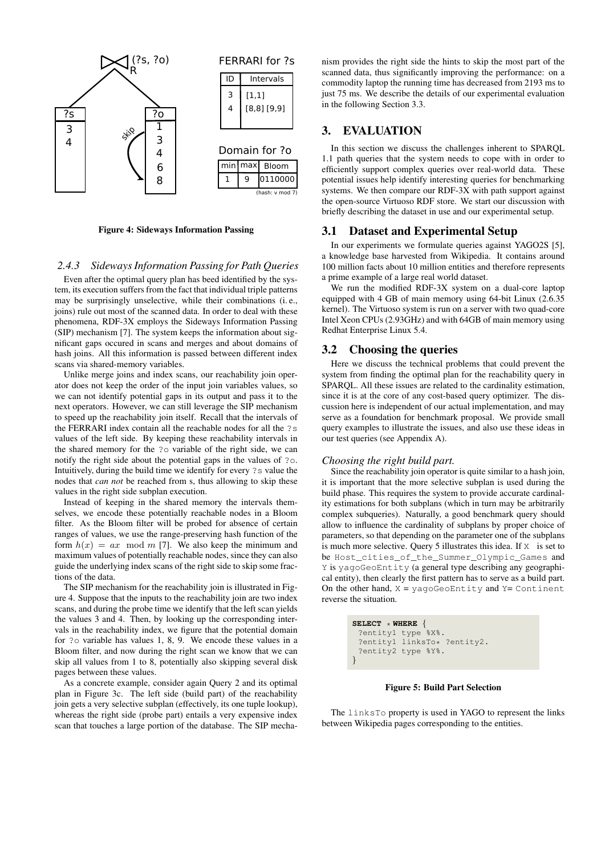

Figure 4: Sideways Information Passing

#### *2.4.3 Sideways Information Passing for Path Queries*

Even after the optimal query plan has beed identified by the system, its execution suffers from the fact that individual triple patterns may be surprisingly unselective, while their combinations (i. e., joins) rule out most of the scanned data. In order to deal with these phenomena, RDF-3X employs the Sideways Information Passing (SIP) mechanism [7]. The system keeps the information about significant gaps occured in scans and merges and about domains of hash joins. All this information is passed between different index scans via shared-memory variables.

Unlike merge joins and index scans, our reachability join operator does not keep the order of the input join variables values, so we can not identify potential gaps in its output and pass it to the next operators. However, we can still leverage the SIP mechanism to speed up the reachability join itself. Recall that the intervals of the FERRARI index contain all the reachable nodes for all the ?s values of the left side. By keeping these reachability intervals in the shared memory for the ?o variable of the right side, we can notify the right side about the potential gaps in the values of ?o. Intuitively, during the build time we identify for every ?s value the nodes that *can not* be reached from s, thus allowing to skip these values in the right side subplan execution.

Instead of keeping in the shared memory the intervals themselves, we encode these potentially reachable nodes in a Bloom filter. As the Bloom filter will be probed for absence of certain ranges of values, we use the range-preserving hash function of the form  $h(x) = ax \mod m$  [7]. We also keep the minimum and maximum values of potentially reachable nodes, since they can also guide the underlying index scans of the right side to skip some fractions of the data.

The SIP mechanism for the reachability join is illustrated in Figure 4. Suppose that the inputs to the reachability join are two index scans, and during the probe time we identify that the left scan yields the values 3 and 4. Then, by looking up the corresponding intervals in the reachability index, we figure that the potential domain for ?o variable has values 1, 8, 9. We encode these values in a Bloom filter, and now during the right scan we know that we can skip all values from 1 to 8, potentially also skipping several disk pages between these values.

As a concrete example, consider again Query 2 and its optimal plan in Figure 3c. The left side (build part) of the reachability join gets a very selective subplan (effectively, its one tuple lookup), whereas the right side (probe part) entails a very expensive index scan that touches a large portion of the database. The SIP mecha-

nism provides the right side the hints to skip the most part of the scanned data, thus significantly improving the performance: on a commodity laptop the running time has decreased from 2193 ms to just 75 ms. We describe the details of our experimental evaluation in the following Section 3.3.

## 3. EVALUATION

In this section we discuss the challenges inherent to SPARQL 1.1 path queries that the system needs to cope with in order to efficiently support complex queries over real-world data. These potential issues help identify interesting queries for benchmarking systems. We then compare our RDF-3X with path support against the open-source Virtuoso RDF store. We start our discussion with briefly describing the dataset in use and our experimental setup.

#### 3.1 Dataset and Experimental Setup

In our experiments we formulate queries against YAGO2S [5], a knowledge base harvested from Wikipedia. It contains around 100 million facts about 10 million entities and therefore represents a prime example of a large real world dataset.

We run the modified RDF-3X system on a dual-core laptop equipped with 4 GB of main memory using 64-bit Linux (2.6.35 kernel). The Virtuoso system is run on a server with two quad-core Intel Xeon CPUs (2.93GHz) and with 64GB of main memory using Redhat Enterprise Linux 5.4.

## 3.2 Choosing the queries

Here we discuss the technical problems that could prevent the system from finding the optimal plan for the reachability query in SPARQL. All these issues are related to the cardinality estimation, since it is at the core of any cost-based query optimizer. The discussion here is independent of our actual implementation, and may serve as a foundation for benchmark proposal. We provide small query examples to illustrate the issues, and also use these ideas in our test queries (see Appendix A).

#### *Choosing the right build part.*

Since the reachability join operator is quite similar to a hash join, it is important that the more selective subplan is used during the build phase. This requires the system to provide accurate cardinality estimations for both subplans (which in turn may be arbitrarily complex subqueries). Naturally, a good benchmark query should allow to influence the cardinality of subplans by proper choice of parameters, so that depending on the parameter one of the subplans is much more selective. Query 5 illustrates this idea. If  $X$  is set to be Host\_cities\_of\_the\_Summer\_Olympic\_Games and Y is yagoGeoEntity (a general type describing any geographical entity), then clearly the first pattern has to serve as a build part. On the other hand,  $X = yaqoGeometricity$  and  $Y =$  Continent reverse the situation.

| SELECT $\star$ WHERE $\{$ |                             |  |
|---------------------------|-----------------------------|--|
|                           | ?entityl type %X%.          |  |
|                           | ?entityl linksTo* ?entity2. |  |
|                           | ?entity2 type %Y%.          |  |
|                           |                             |  |

Figure 5: Build Part Selection

The linksTo property is used in YAGO to represent the links between Wikipedia pages corresponding to the entities.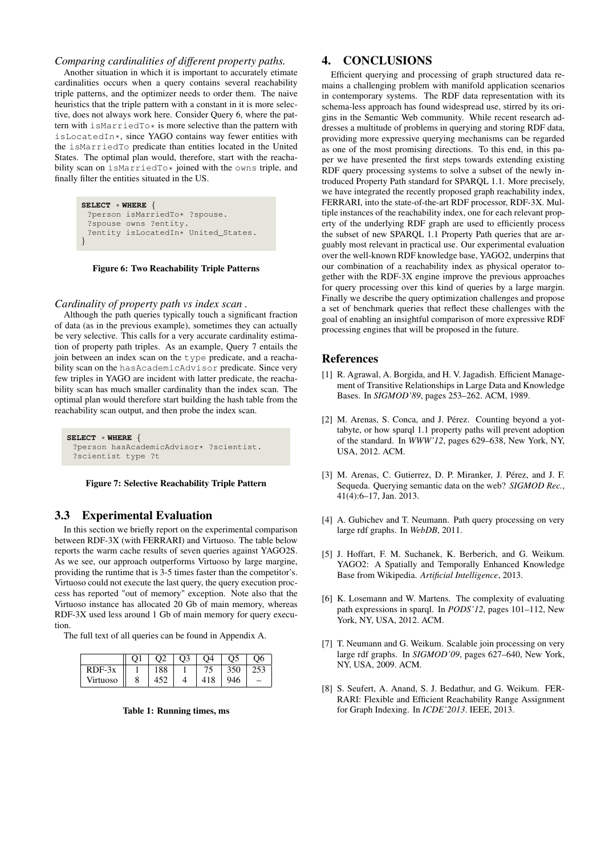#### *Comparing cardinalities of different property paths.*

Another situation in which it is important to accurately etimate cardinalities occurs when a query contains several reachability triple patterns, and the optimizer needs to order them. The naive heuristics that the triple pattern with a constant in it is more selective, does not always work here. Consider Query 6, where the pattern with  $i$  sMarriedTo\* is more selective than the pattern with isLocatedIn\*, since YAGO contains way fewer entities with the isMarriedTo predicate than entities located in the United States. The optimal plan would, therefore, start with the reachability scan on isMarriedTo $*$  joined with the owns triple, and finally filter the entities situated in the US.

```
SELECT * WHERE {
 ?person isMarriedTo* ?spouse.
 ?spouse owns ?entity.
 ?entity isLocatedIn* United_States.
}
```
Figure 6: Two Reachability Triple Patterns

#### *Cardinality of property path vs index scan .*

Although the path queries typically touch a significant fraction of data (as in the previous example), sometimes they can actually be very selective. This calls for a very accurate cardinality estimation of property path triples. As an example, Query 7 entails the join between an index scan on the type predicate, and a reachability scan on the hasAcademicAdvisor predicate. Since very few triples in YAGO are incident with latter predicate, the reachability scan has much smaller cardinality than the index scan. The optimal plan would therefore start building the hash table from the reachability scan output, and then probe the index scan.

```
SELECT * WHERE {
 ?person hasAcademicAdvisor* ?scientist.
 ?scientist type ?t
```


### 3.3 Experimental Evaluation

In this section we briefly report on the experimental comparison between RDF-3X (with FERRARI) and Virtuoso. The table below reports the warm cache results of seven queries against YAGO2S. As we see, our approach outperforms Virtuoso by large margine, providing the runtime that is 3-5 times faster than the competitor's. Virtuoso could not execute the last query, the query execution proccess has reported "out of memory" exception. Note also that the Virtuoso instance has allocated 20 Gb of main memory, whereas RDF-3X used less around 1 Gb of main memory for query execution.

The full text of all queries can be found in Appendix A.

|          | O <sub>2</sub> | O <sub>3</sub> | $\Omega$ 4 | O <sub>5</sub> | O <sub>6</sub> |
|----------|----------------|----------------|------------|----------------|----------------|
| $RDF-3x$ |                |                |            | 350            |                |
| Virtuoso |                |                | 418        | 946            |                |

#### Table 1: Running times, ms

## 4. CONCLUSIONS

Efficient querying and processing of graph structured data remains a challenging problem with manifold application scenarios in contemporary systems. The RDF data representation with its schema-less approach has found widespread use, stirred by its origins in the Semantic Web community. While recent research addresses a multitude of problems in querying and storing RDF data, providing more expressive querying mechanisms can be regarded as one of the most promising directions. To this end, in this paper we have presented the first steps towards extending existing RDF query processing systems to solve a subset of the newly introduced Property Path standard for SPARQL 1.1. More precisely, we have integrated the recently proposed graph reachability index, FERRARI, into the state-of-the-art RDF processor, RDF-3X. Multiple instances of the reachability index, one for each relevant property of the underlying RDF graph are used to efficiently process the subset of new SPARQL 1.1 Property Path queries that are arguably most relevant in practical use. Our experimental evaluation over the well-known RDF knowledge base, YAGO2, underpins that our combination of a reachability index as physical operator together with the RDF-3X engine improve the previous approaches for query processing over this kind of queries by a large margin. Finally we describe the query optimization challenges and propose a set of benchmark queries that reflect these challenges with the goal of enabling an insightful comparison of more expressive RDF processing engines that will be proposed in the future.

#### References

- [1] R. Agrawal, A. Borgida, and H. V. Jagadish. Efficient Management of Transitive Relationships in Large Data and Knowledge Bases. In *SIGMOD'89*, pages 253–262. ACM, 1989.
- [2] M. Arenas, S. Conca, and J. Pérez. Counting beyond a yottabyte, or how sparql 1.1 property paths will prevent adoption of the standard. In *WWW'12*, pages 629–638, New York, NY, USA, 2012. ACM.
- [3] M. Arenas, C. Gutierrez, D. P. Miranker, J. Pérez, and J. F. Sequeda. Querying semantic data on the web? *SIGMOD Rec.*, 41(4):6–17, Jan. 2013.
- [4] A. Gubichev and T. Neumann. Path query processing on very large rdf graphs. In *WebDB*, 2011.
- [5] J. Hoffart, F. M. Suchanek, K. Berberich, and G. Weikum. YAGO2: A Spatially and Temporally Enhanced Knowledge Base from Wikipedia. *Artificial Intelligence*, 2013.
- [6] K. Losemann and W. Martens. The complexity of evaluating path expressions in sparql. In *PODS'12*, pages 101–112, New York, NY, USA, 2012. ACM.
- [7] T. Neumann and G. Weikum. Scalable join processing on very large rdf graphs. In *SIGMOD'09*, pages 627–640, New York, NY, USA, 2009. ACM.
- [8] S. Seufert, A. Anand, S. J. Bedathur, and G. Weikum. FER-RARI: Flexible and Efficient Reachability Range Assignment for Graph Indexing. In *ICDE'2013*. IEEE, 2013.